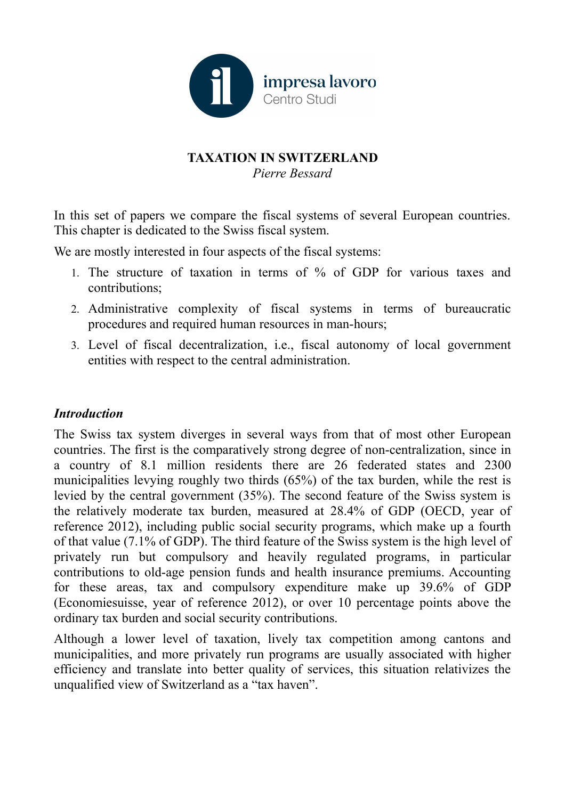

# **TAXATION IN SWITZERLAND** *Pierre Bessard*

In this set of papers we compare the fiscal systems of several European countries. This chapter is dedicated to the Swiss fiscal system.

We are mostly interested in four aspects of the fiscal systems:

- 1. The structure of taxation in terms of % of GDP for various taxes and contributions;
- 2. Administrative complexity of fiscal systems in terms of bureaucratic procedures and required human resources in man-hours;
- 3. Level of fiscal decentralization, i.e., fiscal autonomy of local government entities with respect to the central administration.

# *Introduction*

The Swiss tax system diverges in several ways from that of most other European countries. The first is the comparatively strong degree of non-centralization, since in a country of 8.1 million residents there are 26 federated states and 2300 municipalities levying roughly two thirds (65%) of the tax burden, while the rest is levied by the central government (35%). The second feature of the Swiss system is the relatively moderate tax burden, measured at 28.4% of GDP (OECD, year of reference 2012), including public social security programs, which make up a fourth of that value (7.1% of GDP). The third feature of the Swiss system is the high level of privately run but compulsory and heavily regulated programs, in particular contributions to old-age pension funds and health insurance premiums. Accounting for these areas, tax and compulsory expenditure make up 39.6% of GDP (Economiesuisse, year of reference 2012), or over 10 percentage points above the ordinary tax burden and social security contributions.

Although a lower level of taxation, lively tax competition among cantons and municipalities, and more privately run programs are usually associated with higher efficiency and translate into better quality of services, this situation relativizes the unqualified view of Switzerland as a "tax haven".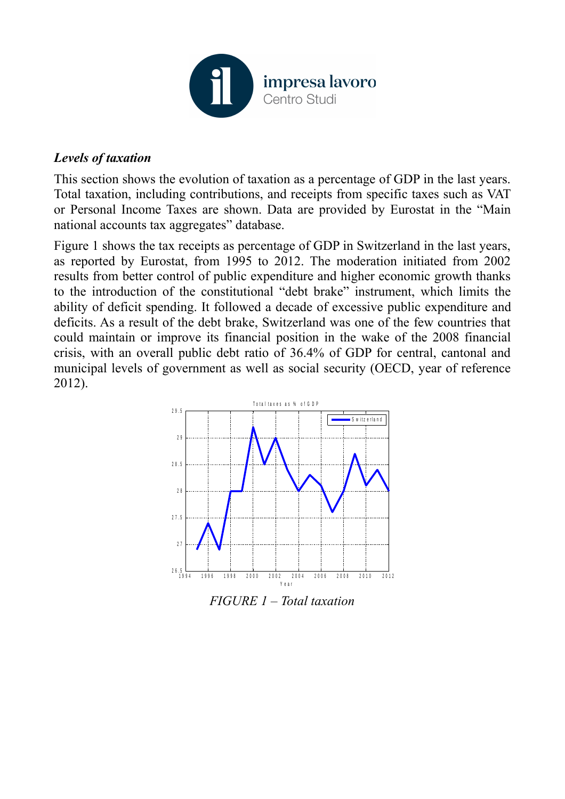

### *Levels of taxation*

This section shows the evolution of taxation as a percentage of GDP in the last years. Total taxation, including contributions, and receipts from specific taxes such as VAT or Personal Income Taxes are shown. Data are provided by Eurostat in the "Main national accounts tax aggregates" database.

Figure 1 shows the tax receipts as percentage of GDP in Switzerland in the last years, as reported by Eurostat, from 1995 to 2012. The moderation initiated from 2002 results from better control of public expenditure and higher economic growth thanks to the introduction of the constitutional "debt brake" instrument, which limits the ability of deficit spending. It followed a decade of excessive public expenditure and deficits. As a result of the debt brake, Switzerland was one of the few countries that could maintain or improve its financial position in the wake of the 2008 financial crisis, with an overall public debt ratio of 36.4% of GDP for central, cantonal and municipal levels of government as well as social security (OECD, year of reference 2012).



*FIGURE 1 – Total taxation*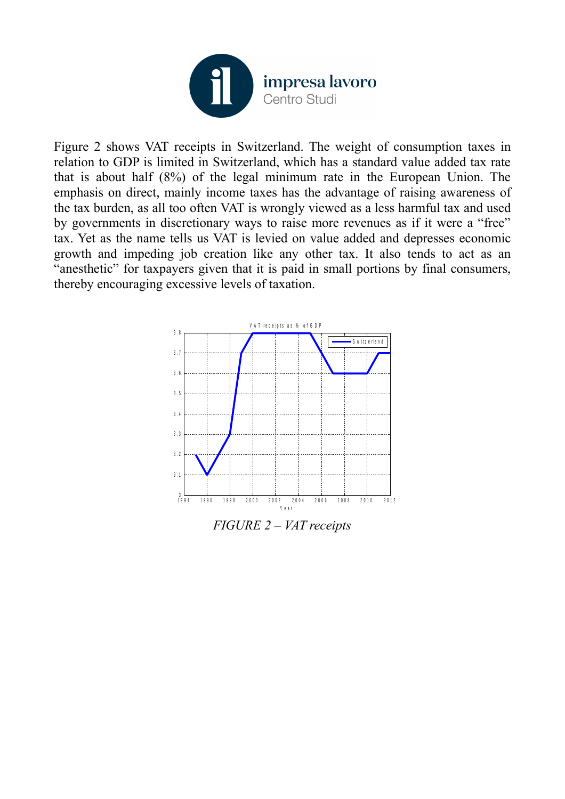

Figure 2 shows VAT receipts in Switzerland. The weight of consumption taxes in relation to GDP is limited in Switzerland, which has a standard value added tax rate that is about half (8%) of the legal minimum rate in the European Union. The emphasis on direct, mainly income taxes has the advantage of raising awareness of the tax burden, as all too often VAT is wrongly viewed as a less harmful tax and used by governments in discretionary ways to raise more revenues as if it were a "free" tax. Yet as the name tells us VAT is levied on value added and depresses economic growth and impeding job creation like any other tax. It also tends to act as an "anesthetic" for taxpayers given that it is paid in small portions by final consumers, thereby encouraging excessive levels of taxation.

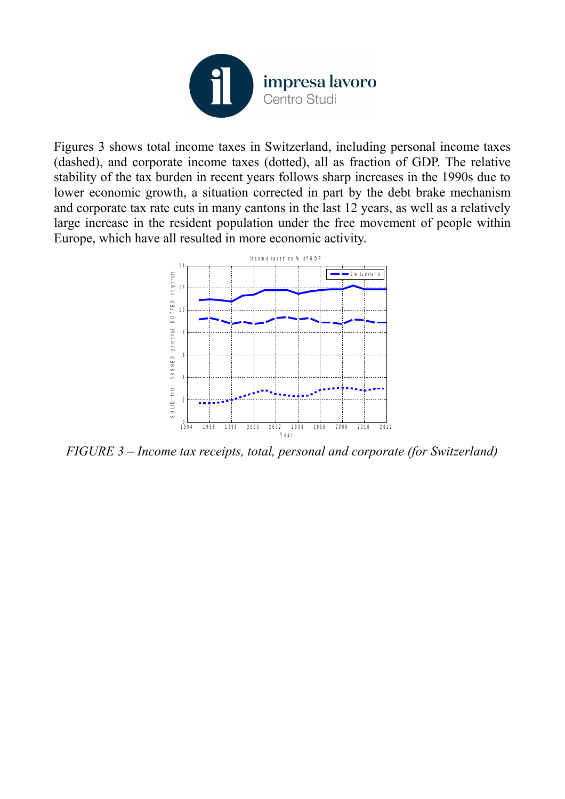

Figures 3 shows total income taxes in Switzerland, including personal income taxes (dashed), and corporate income taxes (dotted), all as fraction of GDP. The relative stability of the tax burden in recent years follows sharp increases in the 1990s due to lower economic growth, a situation corrected in part by the debt brake mechanism and corporate tax rate cuts in many cantons in the last 12 years, as well as a relatively large increase in the resident population under the free movement of people within Europe, which have all resulted in more economic activity.



*FIGURE 3 – Income tax receipts, total, personal and corporate (for Switzerland)*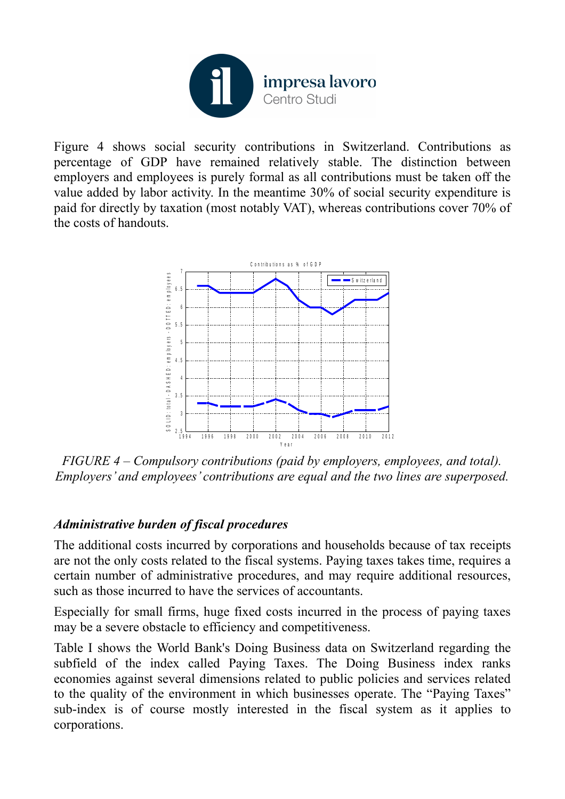

Figure 4 shows social security contributions in Switzerland. Contributions as percentage of GDP have remained relatively stable. The distinction between employers and employees is purely formal as all contributions must be taken off the value added by labor activity. In the meantime 30% of social security expenditure is paid for directly by taxation (most notably VAT), whereas contributions cover 70% of the costs of handouts.



*FIGURE 4 – Compulsory contributions (paid by employers, employees, and total). Employers' and employees' contributions are equal and the two lines are superposed.*

# *Administrative burden of fiscal procedures*

The additional costs incurred by corporations and households because of tax receipts are not the only costs related to the fiscal systems. Paying taxes takes time, requires a certain number of administrative procedures, and may require additional resources, such as those incurred to have the services of accountants.

Especially for small firms, huge fixed costs incurred in the process of paying taxes may be a severe obstacle to efficiency and competitiveness.

Table I shows the World Bank's Doing Business data on Switzerland regarding the subfield of the index called Paying Taxes. The Doing Business index ranks economies against several dimensions related to public policies and services related to the quality of the environment in which businesses operate. The "Paying Taxes" sub-index is of course mostly interested in the fiscal system as it applies to corporations.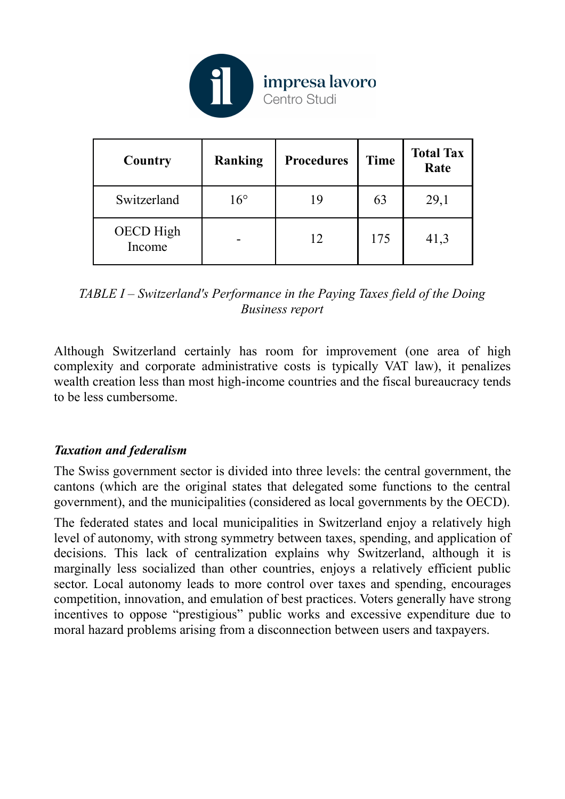

| Country                    | Ranking      | <b>Procedures</b> | <b>Time</b> | <b>Total Tax</b><br>Rate |
|----------------------------|--------------|-------------------|-------------|--------------------------|
| Switzerland                | $16^{\circ}$ | 19                | 63          | 29,1                     |
| <b>OECD</b> High<br>Income |              | 12                | 175         | 41,3                     |

*TABLE I – Switzerland's Performance in the Paying Taxes field of the Doing Business report*

Although Switzerland certainly has room for improvement (one area of high complexity and corporate administrative costs is typically VAT law), it penalizes wealth creation less than most high-income countries and the fiscal bureaucracy tends to be less cumbersome.

### *Taxation and federalism*

The Swiss government sector is divided into three levels: the central government, the cantons (which are the original states that delegated some functions to the central government), and the municipalities (considered as local governments by the OECD).

The federated states and local municipalities in Switzerland enjoy a relatively high level of autonomy, with strong symmetry between taxes, spending, and application of decisions. This lack of centralization explains why Switzerland, although it is marginally less socialized than other countries, enjoys a relatively efficient public sector. Local autonomy leads to more control over taxes and spending, encourages competition, innovation, and emulation of best practices. Voters generally have strong incentives to oppose "prestigious" public works and excessive expenditure due to moral hazard problems arising from a disconnection between users and taxpayers.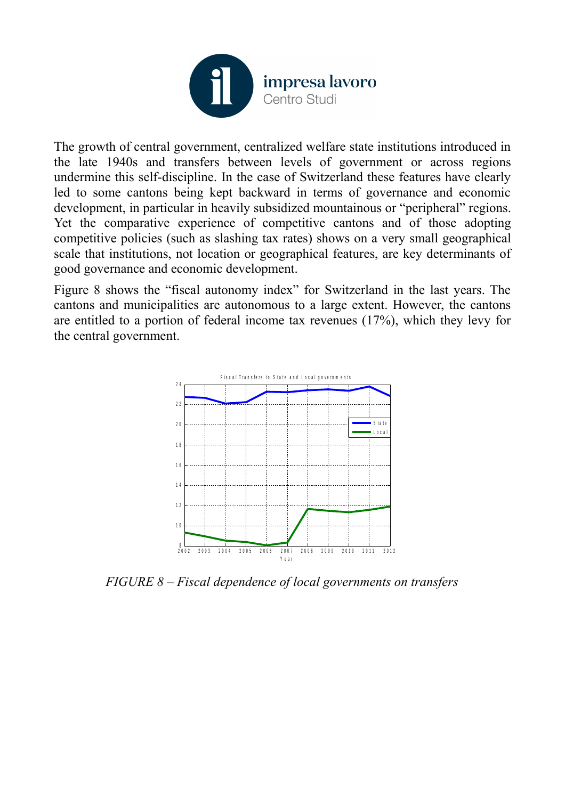

The growth of central government, centralized welfare state institutions introduced in the late 1940s and transfers between levels of government or across regions undermine this self-discipline. In the case of Switzerland these features have clearly led to some cantons being kept backward in terms of governance and economic development, in particular in heavily subsidized mountainous or "peripheral" regions. Yet the comparative experience of competitive cantons and of those adopting competitive policies (such as slashing tax rates) shows on a very small geographical scale that institutions, not location or geographical features, are key determinants of good governance and economic development.

Figure 8 shows the "fiscal autonomy index" for Switzerland in the last years. The cantons and municipalities are autonomous to a large extent. However, the cantons are entitled to a portion of federal income tax revenues (17%), which they levy for the central government.



*FIGURE 8 – Fiscal dependence of local governments on transfers*